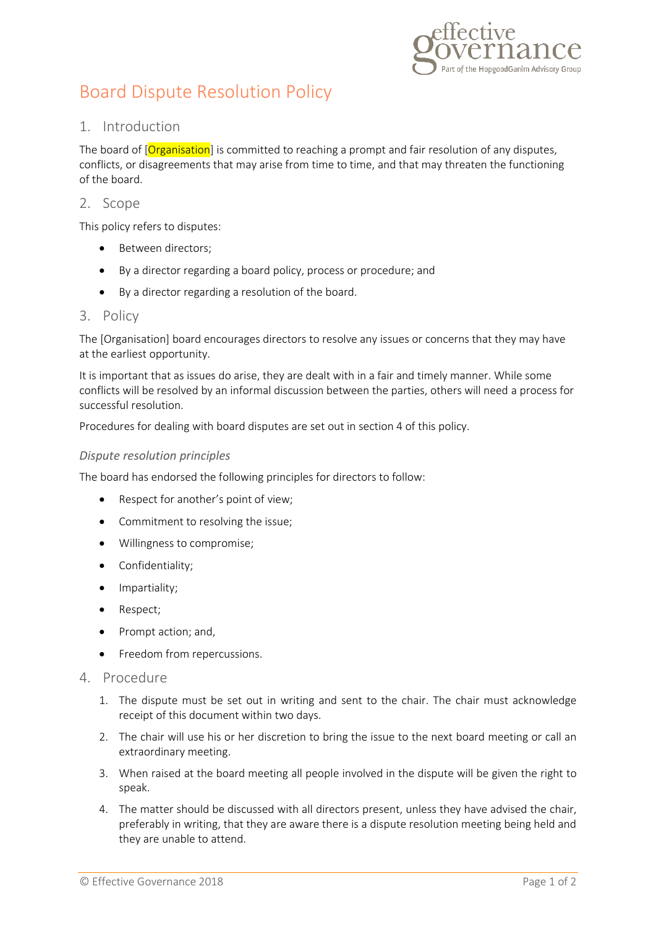

# Board Dispute Resolution Policy

# 1. Introduction

The board of [Organisation] is committed to reaching a prompt and fair resolution of any disputes, conflicts, or disagreements that may arise from time to time, and that may threaten the functioning of the board.

## 2. Scope

This policy refers to disputes:

- Between directors:
- By a director regarding a board policy, process or procedure; and
- By a director regarding a resolution of the board.

#### 3. Policy

The [Organisation] board encourages directors to resolve any issues or concerns that they may have at the earliest opportunity.

It is important that as issues do arise, they are dealt with in a fair and timely manner. While some conflicts will be resolved by an informal discussion between the parties, others will need a process for successful resolution.

Procedures for dealing with board disputes are set out in section 4 of this policy.

#### *Dispute resolution principles*

The board has endorsed the following principles for directors to follow:

- Respect for another's point of view;
- Commitment to resolving the issue;
- Willingness to compromise;
- Confidentiality;
- Impartiality;
- Respect;
- Prompt action; and,
- **•** Freedom from repercussions.
- 4. Procedure
	- 1. The dispute must be set out in writing and sent to the chair. The chair must acknowledge receipt of this document within two days.
	- 2. The chair will use his or her discretion to bring the issue to the next board meeting or call an extraordinary meeting.
	- 3. When raised at the board meeting all people involved in the dispute will be given the right to speak.
	- 4. The matter should be discussed with all directors present, unless they have advised the chair, preferably in writing, that they are aware there is a dispute resolution meeting being held and they are unable to attend.